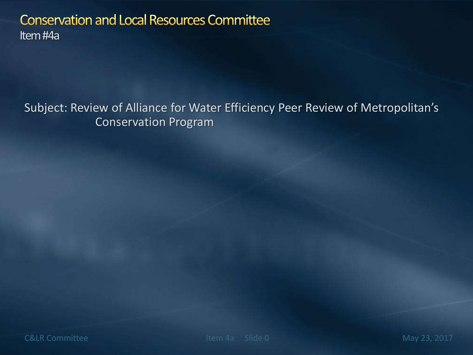#### **Conservation and Local Resources Committee** Item #4a

Subject: Review of Alliance for Water Efficiency Peer Review of Metropolitan's Conservation Program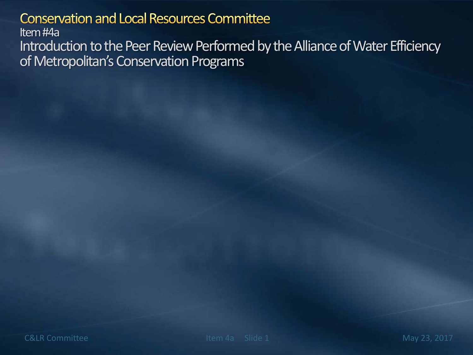#### **Conservation and Local Resources Committee**

Item #4a

Introduction to the Peer Review Performed by the Alliance of Water Efficiency of Metropolitan's Conservation Programs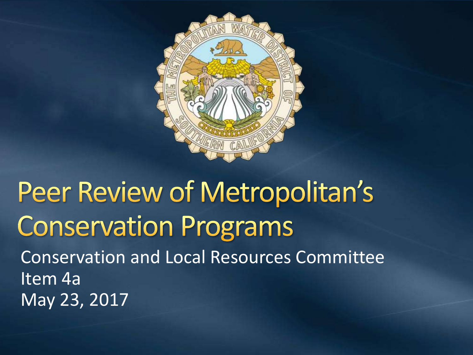

#### Peer Review of Metropolitan's **Conservation Programs** Conservation and Local Resources Committee Item 4a May 23, 2017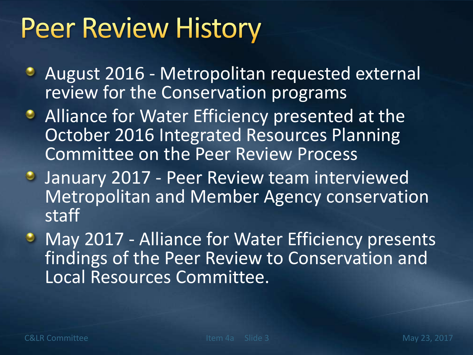### **Peer Review History**

- **August 2016 Metropolitan requested external** review for the Conservation programs
- **Alliance for Water Efficiency presented at the** October 2016 Integrated Resources Planning Committee on the Peer Review Process
- **January 2017 Peer Review team interviewed** Metropolitan and Member Agency conservation staff
- May 2017 Alliance for Water Efficiency presents findings of the Peer Review to Conservation and Local Resources Committee.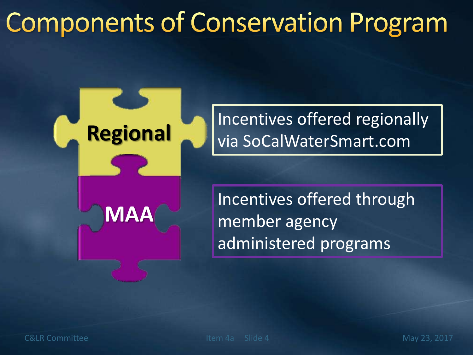### **Components of Conservation Program**



Incentives offered regionally via SoCalWaterSmart.com

Incentives offered through member agency administered programs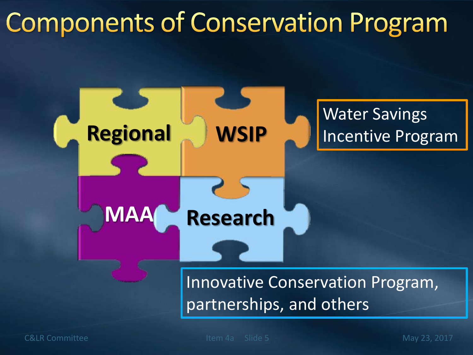#### **Components of Conservation Program**



C&LR Committee The Item 4a Slide 5 May 23, 2017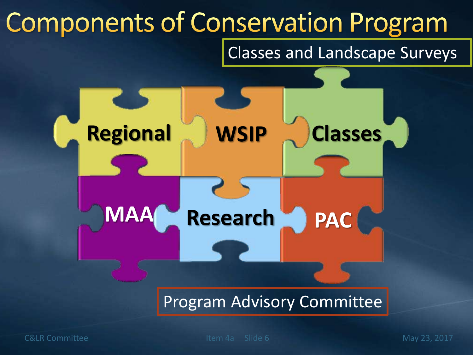

C&LR Committee The Item 4a Slide 6 May 23, 2017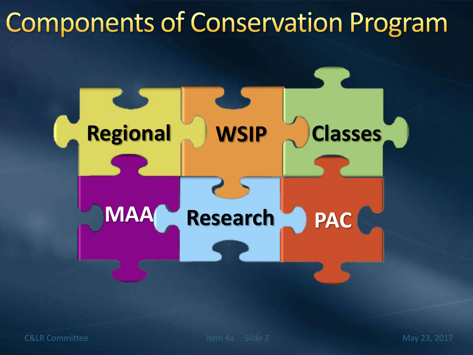#### **Components of Conservation Program**

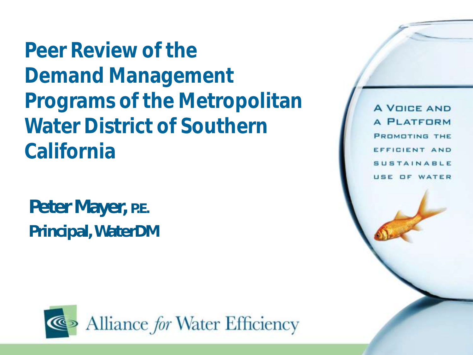**Peer Review of the Demand Management Programs of the Metropolitan Water District of Southern California**

Peter Mayer, P.E. Principal, WaterDM



**A VOICE AND A PLATFORM** PROMOTING THE EFFICIENT AND **SUSTAINABLE** USE OF WATER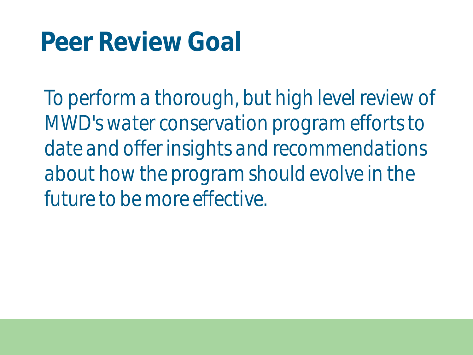#### **Peer Review Goal**

*To perform a thorough, but high level review of MWD's water conservation program efforts to date and offer insights and recommendations about how the program should evolve in the future to be more effective.*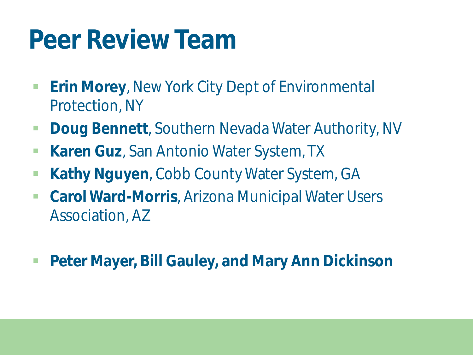#### **Peer Review Team**

- **Erin Morey**, New York City Dept of Environmental Protection, NY
- **Doug Bennett, Southern Nevada Water Authority, NV**
- **Karen Guz**, San Antonio Water System, TX
- **Kathy Nguyen, Cobb County Water System, GA**
- **Carol Ward-Morris**, Arizona Municipal Water Users Association, AZ
- **Peter Mayer, Bill Gauley, and Mary Ann Dickinson**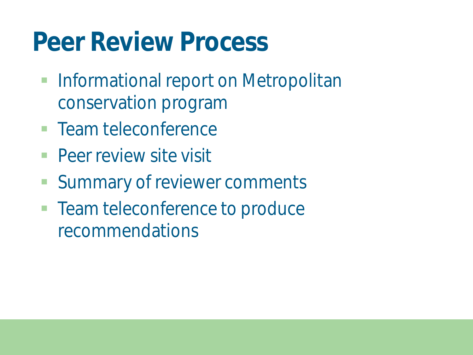#### **Peer Review Process**

- **Informational report on Metropolitan** conservation program
- **Team teleconference**
- **Peer review site visit**
- Summary of reviewer comments
- **Team teleconference to produce** recommendations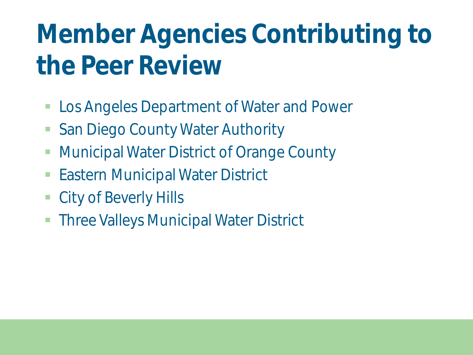### **Member Agencies Contributing to the Peer Review**

- Los Angeles Department of Water and Power
- San Diego County Water Authority
- **Municipal Water District of Orange County**
- Eastern Municipal Water District
- City of Beverly Hills
- **Three Valleys Municipal Water District**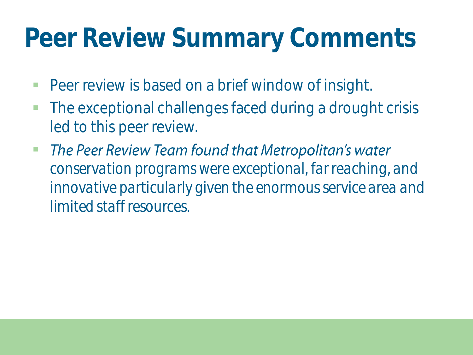#### **Peer Review Summary Comments**

- **Peer review is based on a brief window of insight.**
- **The exceptional challenges faced during a drought crisis** led to this peer review.
- The Peer Review Team found that Metropolitan's water  $\mathcal{C}^{\mathcal{A}}$ *conservation programs were exceptional, far reaching, and innovative particularly given the enormous service area and limited staff resources.*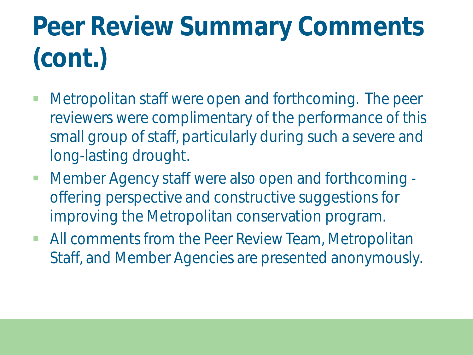### **Peer Review Summary Comments (cont.)**

- Metropolitan staff were open and forthcoming. The peer reviewers were complimentary of the performance of this small group of staff, particularly during such a severe and long-lasting drought.
- Member Agency staff were also open and forthcoming offering perspective and constructive suggestions for improving the Metropolitan conservation program.
- **All comments from the Peer Review Team, Metropolitan** Staff, and Member Agencies are presented anonymously.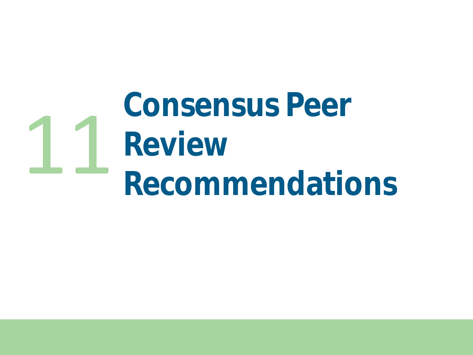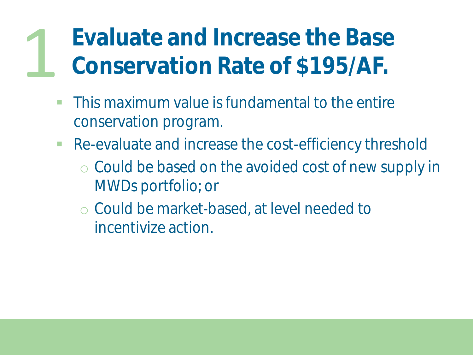#### **Evaluate and Increase the Base Conservation Rate of \$195/AF.** 1

- **This maximum value is fundamental to the entire** conservation program.
- **Re-evaluate and increase the cost-efficiency threshold** 
	- o Could be based on the avoided cost of new supply in MWDs portfolio; or
	- o Could be market-based, at level needed to incentivize action.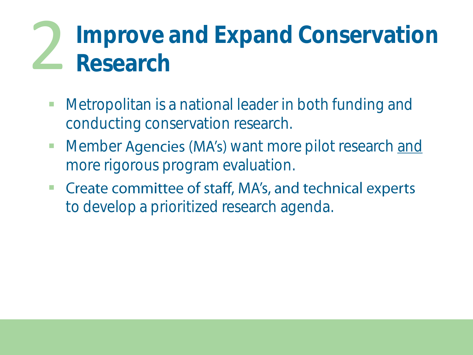### **Improve and Expand Conservation**<br>Research

- Metropolitan is a national leader in both funding and conducting conservation research.
- Member Agencies (MA's) want more pilot research and more rigorous program evaluation.
- Create committee of staff, MA's, and technical experts  $\overline{\mathbb{R}^n}$ to develop a prioritized research agenda.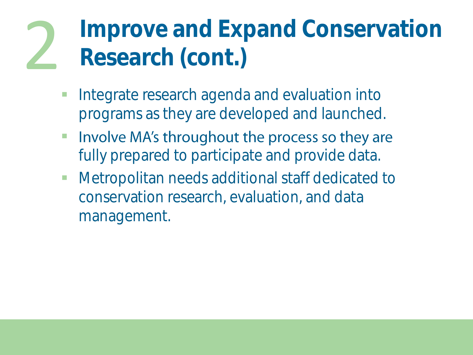### Improve and Expand Conservation<br>Research (cont.)

- **Integrate research agenda and evaluation into** programs as they are developed and launched.
- Involve MA's throughout the process so they are  $\mathcal{L}_{\mathcal{A}}$ fully prepared to participate and provide data.
- **Netropolitan needs additional staff dedicated to** conservation research, evaluation, and data management.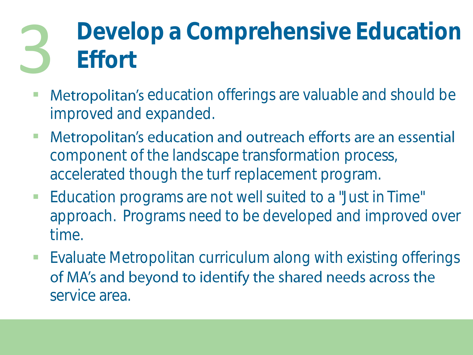### Develop a Comprehensive Education<br>**Effort**

- **Metropolitan's** education offerings are valuable and should be improved and expanded.
- Metropolitan's education and outreach efforts are an essential  $\mathbb{R}^n$ component of the landscape transformation process, accelerated though the turf replacement program.
- **Education programs are not well suited to a "Just in Time"** approach. Programs need to be developed and improved over time.
- **Evaluate Metropolitan curriculum along with existing offerings** of MA's and beyond to identify the shared needs across the service area.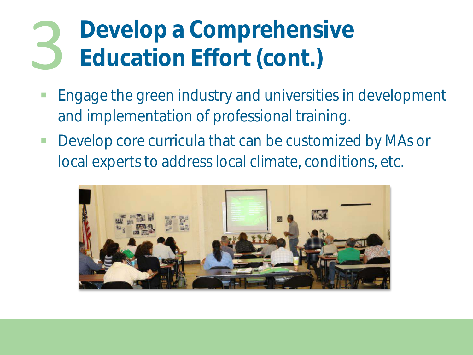### **Develop a Comprehensive**<br>**3 Education Effort (cont.)**

- **Engage the green industry and universities in development** and implementation of professional training.
- **Develop core curricula that can be customized by MAs or** local experts to address local climate, conditions, etc.

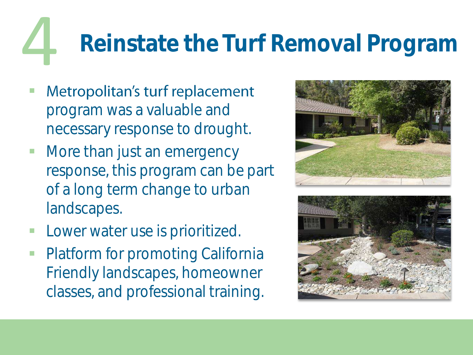# **4** Reinstate the Turf Removal Program<br>Metropolitan's turf replacement

- program was a valuable and necessary response to drought.
- More than just an emergency response, this program can be part of a long term change to urban landscapes.
- Lower water use is prioritized.
- Platform for promoting California Friendly landscapes, homeowner classes, and professional training.



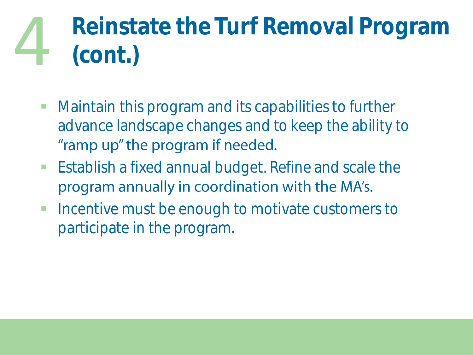# Reinstate the Turf Removal Program<br>(cont.)

- **Maintain this program and its capabilities to further** advance landscape changes and to keep the ability to "ramp up" the program if needed.
- **Establish a fixed annual budget. Refine and scale the** program annually in coordination with the MA's.
- **Incentive must be enough to motivate customers to** participate in the program.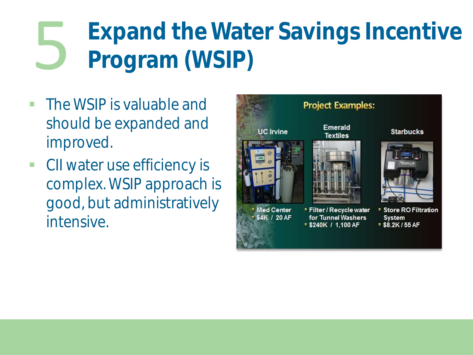### Expand the Water Savings Incentive<br>Program (WSIP)

- **The WSIP is valuable and** should be expanded and improved.
- **CII water use efficiency is** complex. WSIP approach is good, but administratively intensive.

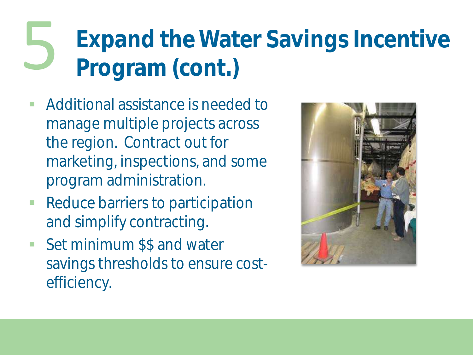## Expand the Water Savings Incentive<br>Program (cont.)

- Additional assistance is needed to manage multiple projects across the region. Contract out for marketing, inspections, and some program administration.
- **Reduce barriers to participation** and simplify contracting.
- Set minimum \$\$ and water savings thresholds to ensure costefficiency.

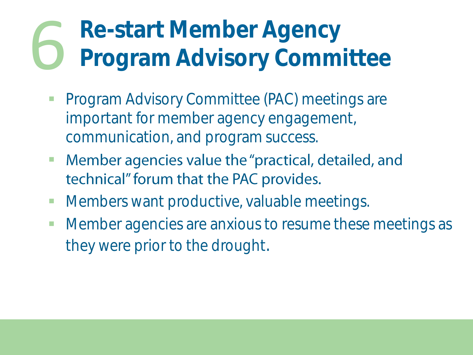### Re-start Member Agency<br>Program Advisory Committee

- **Program Advisory Committee (PAC) meetings are** important for member agency engagement, communication, and program success.
- Member agencies value the "practical, detailed, and  $\mathcal{L}_{\mathcal{A}}$ technical" forum that the PAC provides.
- **Members want productive, valuable meetings.**
- **Member agencies are anxious to resume these meetings as** they were prior to the drought.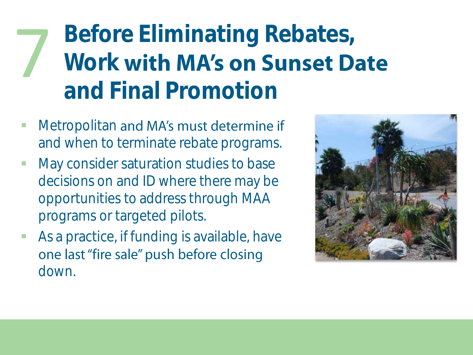**Before Eliminating Rebates, Work with MA's on Sunset Date and Final Promotion** 7

- Metropolitan and MA's must determine if and when to terminate rebate programs.
- **May consider saturation studies to base** decisions on and ID where there may be opportunities to address through MAA programs or targeted pilots.
- As a practice, if funding is available, have one last "fire sale" push before closing down.

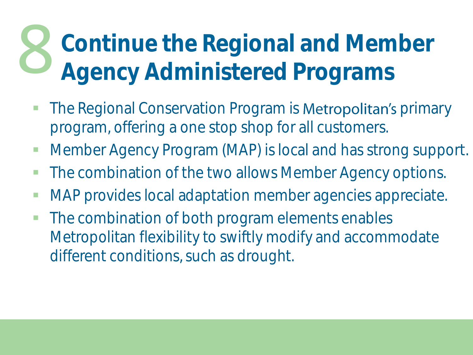## **Continue the Regional and Member** 8 **Agency Administered Programs**

- The Regional Conservation Program is **Metropolitan's** primary program, offering a one stop shop for all customers.
- **Member Agency Program (MAP) is local and has strong support.**
- **The combination of the two allows Member Agency options.**
- **MAP** provides local adaptation member agencies appreciate.
- The combination of both program elements enables Metropolitan flexibility to swiftly modify and accommodate different conditions, such as drought.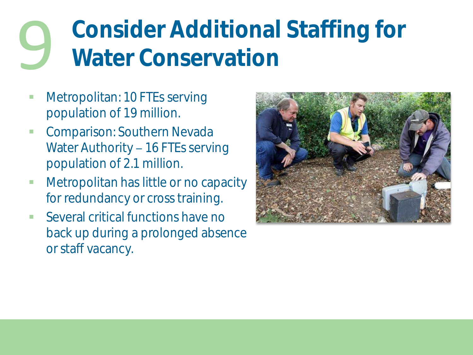### **Consider Additional Staffing for** 9 **Water Conservation**

- Metropolitan: 10 FTEs serving population of 19 million.
- **-** Comparison: Southern Nevada Water Authority - 16 FTEs serving population of 2.1 million.
- **Metropolitan has little or no capacity** for redundancy or cross training.
- Several critical functions have no back up during a prolonged absence or staff vacancy.

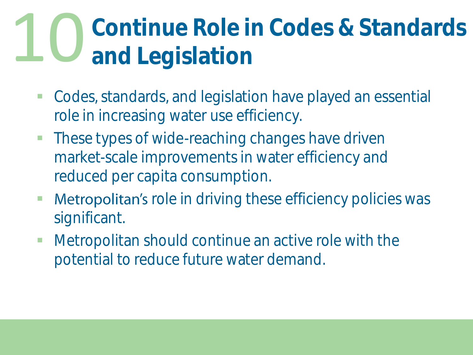### **Continue Role in Codes & Standards** 10 **and Legislation**

- Codes, standards, and legislation have played an essential role in increasing water use efficiency.
- **These types of wide-reaching changes have driven** market-scale improvements in water efficiency and reduced per capita consumption.
- **Metropolitan's** role in driving these efficiency policies was significant.
- Metropolitan should continue an active role with the potential to reduce future water demand.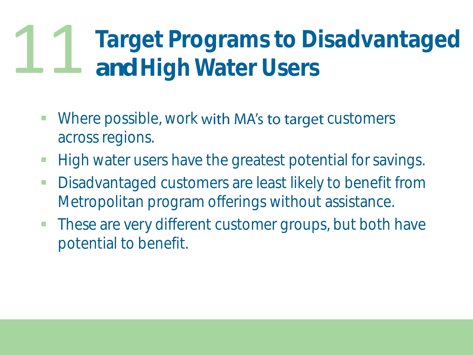### Target Programs to Disadvantaged<br>and High Water Users

- Where possible, work with MA's to target customers across regions.
- **High water users have the greatest potential for savings.**
- **Disadvantaged customers are least likely to benefit from** Metropolitan program offerings without assistance.
- **These are very different customer groups, but both have** potential to benefit.